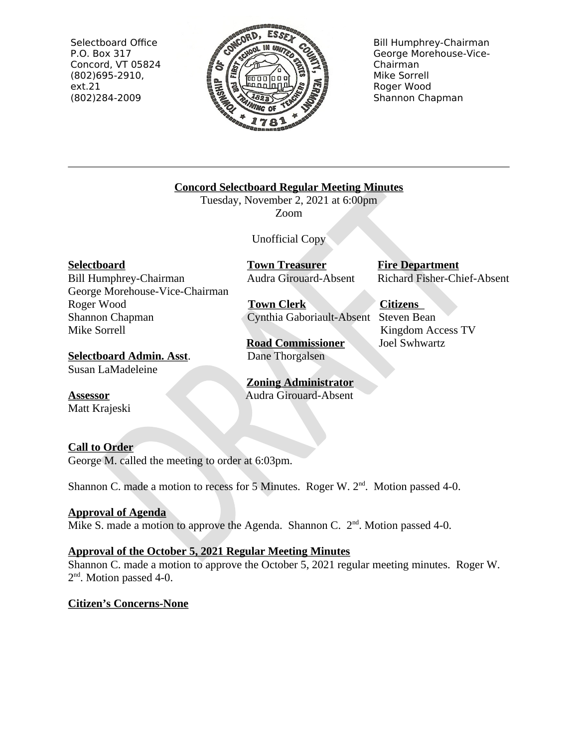Selectboard Office P.O. Box 317 Concord, VT 05824  $(802)695-2910,$  $ext.21$ (802)284-2009



**Bill Humphrey-Chairman** George Morehouse-Vice-Chairman Mike Sorrell Roger Wood Shannon Chapman

**Concord Selectboard Regular Meeting Minutes** 

Tuesday, November 2, 2021 at 6:00pm Zoom

**Unofficial Copy** 

**Selectboard** 

Bill Humphrey-Chairman George Morehouse-Vice-Chairman Roger Wood Shannon Chapman Mike Sorrell

**Selectboard Admin. Asst.** Susan LaMadeleine

**Assessor** Matt Krajeski

# **Town Treasurer Audra Girouard-Absent**

**Town Clerk** Cynthia Gaboriault-Absent Steven Bean

**Road Commissioner** Dane Thorgalsen

**Zoning Administrator Audra Girouard-Absent** 

# Richard Fisher-Chief-Absent **Citizens**

**Fire Department** 

Kingdom Access TV Joel Swhwartz

# **Call to Order**

George M. called the meeting to order at 6:03pm.

Shannon C. made a motion to recess for 5 Minutes. Roger W. 2<sup>nd</sup>. Motion passed 4-0.

# **Approval of Agenda**

Mike S. made a motion to approve the Agenda. Shannon C.  $2<sup>nd</sup>$ . Motion passed 4-0.

# **Approval of the October 5, 2021 Regular Meeting Minutes**

Shannon C, made a motion to approve the October 5, 2021 regular meeting minutes. Roger W. 2<sup>nd</sup>. Motion passed 4-0.

# **Citizen's Concerns-None**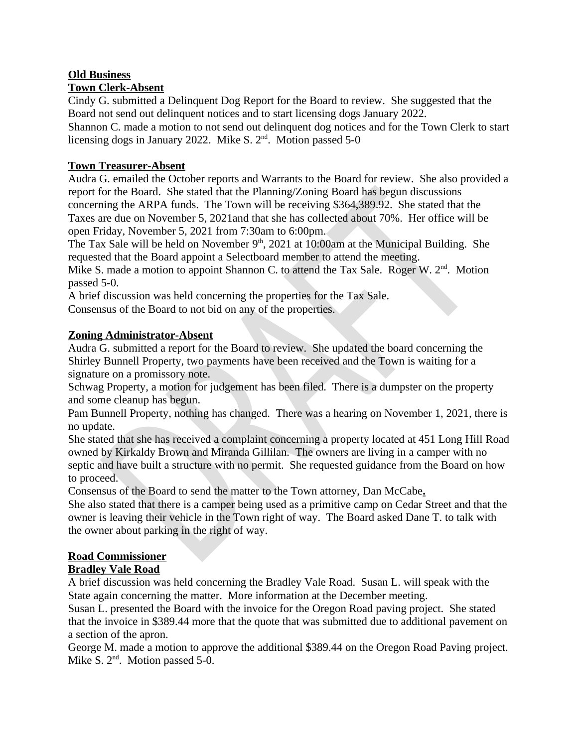# **Old Business**

## **Town Clerk-Absent**

Cindy G. submitted a Delinguent Dog Report for the Board to review. She suggested that the Board not send out delinquent notices and to start licensing dogs January 2022.

Shannon C. made a motion to not send out delinquent dog notices and for the Town Clerk to start licensing dogs in January 2022. Mike S. 2<sup>nd</sup>. Motion passed 5-0

## **Town Treasurer-Absent**

Audra G. emailed the October reports and Warrants to the Board for review. She also provided a report for the Board. She stated that the Planning/Zoning Board has begun discussions concerning the ARPA funds. The Town will be receiving \$364,389.92. She stated that the Taxes are due on November 5, 2021and that she has collected about 70%. Her office will be open Friday, November 5, 2021 from 7:30am to 6:00pm.

The Tax Sale will be held on November  $9<sup>th</sup>$ , 2021 at 10:00am at the Municipal Building. She requested that the Board appoint a Selectboard member to attend the meeting.

Mike S. made a motion to appoint Shannon C. to attend the Tax Sale. Roger W. 2<sup>nd</sup>. Motion passed 5-0.

A brief discussion was held concerning the properties for the Tax Sale.

Consensus of the Board to not bid on any of the properties.

## **Zoning Administrator-Absent**

Audra G. submitted a report for the Board to review. She updated the board concerning the Shirley Bunnell Property, two payments have been received and the Town is waiting for a signature on a promissory note.

Schwag Property, a motion for judgement has been filed. There is a dumpster on the property and some cleanup has begun.

Pam Bunnell Property, nothing has changed. There was a hearing on November 1, 2021, there is no update.

She stated that she has received a complaint concerning a property located at 451 Long Hill Road owned by Kirkaldy Brown and Miranda Gillilan. The owners are living in a camper with no septic and have built a structure with no permit. She requested guidance from the Board on how to proceed.

Consensus of the Board to send the matter to the Town attorney, Dan McCabe.

She also stated that there is a camper being used as a primitive camp on Cedar Street and that the owner is leaving their vehicle in the Town right of way. The Board asked Dane T. to talk with the owner about parking in the right of way.

## **Road Commissioner**

# **Bradley Vale Road**

A brief discussion was held concerning the Bradley Vale Road. Susan L. will speak with the State again concerning the matter. More information at the December meeting.

Susan L. presented the Board with the invoice for the Oregon Road paving project. She stated that the invoice in \$389.44 more that the quote that was submitted due to additional pavement on a section of the apron.

George M. made a motion to approve the additional \$389.44 on the Oregon Road Paving project. Mike S. 2<sup>nd</sup>. Motion passed 5-0.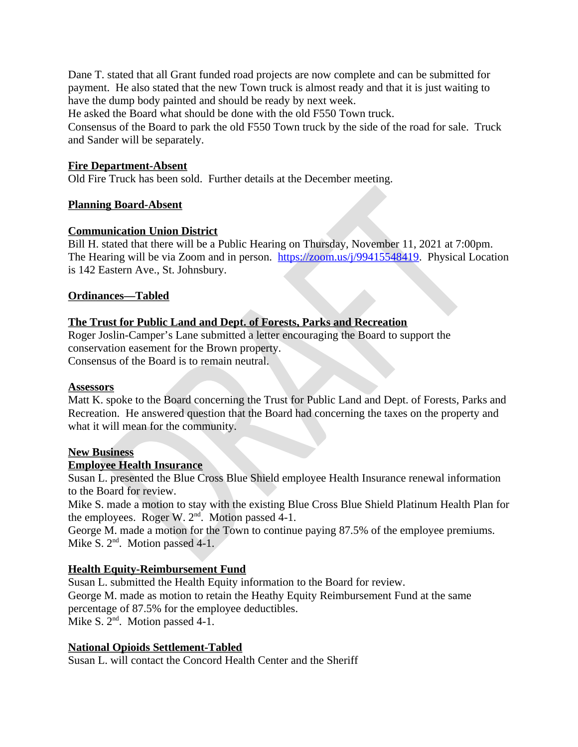Dane T. stated that all Grant funded road projects are now complete and can be submitted for payment. He also stated that the new Town truck is almost ready and that it is just waiting to have the dump body painted and should be ready by next week.

He asked the Board what should be done with the old F550 Town truck.

Consensus of the Board to park the old F550 Town truck by the side of the road for sale. Truck and Sander will be separately.

## **Fire Department-Absent**

Old Fire Truck has been sold. Further details at the December meeting.

## **Planning Board-Absent**

### **Communication Union District**

Bill H. stated that there will be a Public Hearing on Thursday, November 11, 2021 at 7:00pm. The Hearing will be via Zoom and in person. https://zoom.us/j/99415548419. Physical Location is 142 Eastern Ave., St. Johnsbury.

### **Ordinances-Tabled**

## The Trust for Public Land and Dept. of Forests, Parks and Recreation

Roger Joslin-Camper's Lane submitted a letter encouraging the Board to support the conservation easement for the Brown property. Consensus of the Board is to remain neutral.

#### **Assessors**

Matt K. spoke to the Board concerning the Trust for Public Land and Dept. of Forests. Parks and Recreation. He answered question that the Board had concerning the taxes on the property and what it will mean for the community.

#### **New Business**

#### **Employee Health Insurance**

Susan L. presented the Blue Cross Blue Shield employee Health Insurance renewal information to the Board for review.

Mike S. made a motion to stay with the existing Blue Cross Blue Shield Platinum Health Plan for the employees. Roger W.  $2<sup>nd</sup>$ . Motion passed 4-1.

George M. made a motion for the Town to continue paying 87.5% of the employee premiums. Mike S.  $2<sup>nd</sup>$ . Motion passed 4-1.

## **Health Equity-Reimbursement Fund**

Susan L. submitted the Health Equity information to the Board for review. George M. made as motion to retain the Heathy Equity Reimbursement Fund at the same percentage of 87.5% for the employee deductibles. Mike S.  $2^{nd}$ . Motion passed 4-1.

#### **National Opioids Settlement-Tabled**

Susan L. will contact the Concord Health Center and the Sheriff